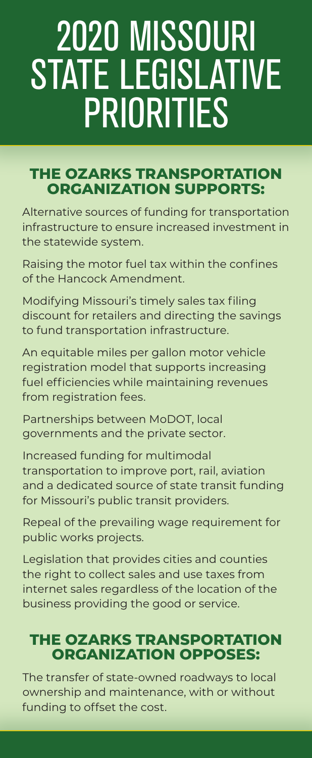# 2020 MISSOURI STATE LEGISLATIVE PRIORITIES

#### **THE OZARKS TRANSPORTATION ORGANIZATION SUPPORTS:**

Alternative sources of funding for transportation infrastructure to ensure increased investment in the statewide system.

Raising the motor fuel tax within the confines of the Hancock Amendment.

Modifying Missouri's timely sales tax filing discount for retailers and directing the savings to fund transportation infrastructure.

An equitable miles per gallon motor vehicle registration model that supports increasing fuel efficiencies while maintaining revenues from registration fees.

Partnerships between MoDOT, local governments and the private sector.

Increased funding for multimodal transportation to improve port, rail, aviation and a dedicated source of state transit funding for Missouri's public transit providers.

Repeal of the prevailing wage requirement for public works projects.

Legislation that provides cities and counties the right to collect sales and use taxes from internet sales regardless of the location of the business providing the good or service.

### **THE OZARKS TRANSPORTATION ORGANIZATION OPPOSES:**

The transfer of state-owned roadways to local ownership and maintenance, with or without funding to offset the cost.